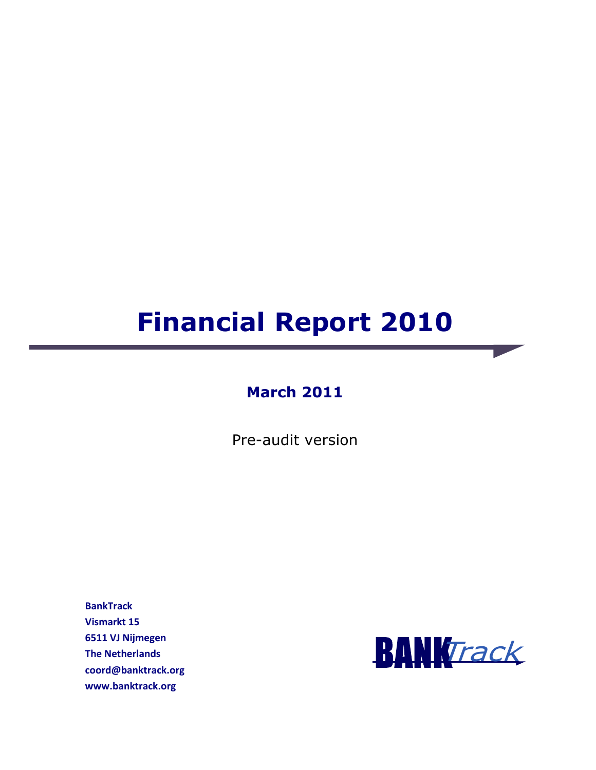# **Financial Report 2010**

### **March 2011**

Pre-audit version

**BankTrack Vismarkt 15 6511 VJ Nijmegen The Netherlands coord@banktrack.org www.banktrack.org** 

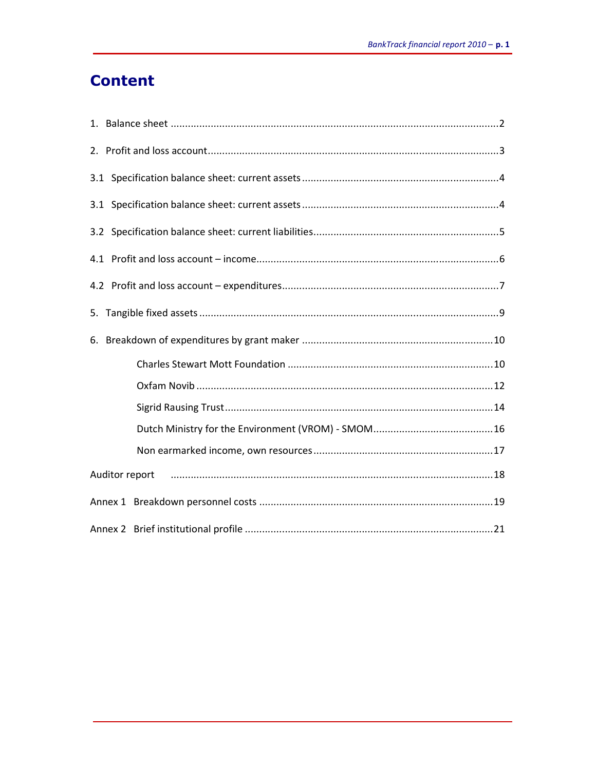## **Content**

| Auditor report |  |
|----------------|--|
|                |  |
|                |  |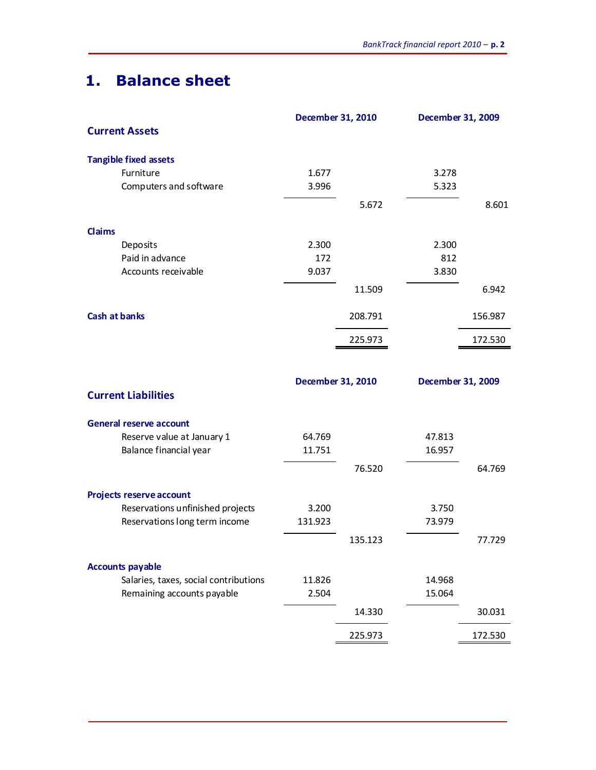## **1. Balance sheet**

|                                       |         |                   | <b>December 31, 2010</b><br><b>December 31, 2009</b> |         |
|---------------------------------------|---------|-------------------|------------------------------------------------------|---------|
| <b>Current Assets</b>                 |         |                   |                                                      |         |
| <b>Tangible fixed assets</b>          |         |                   |                                                      |         |
| Furniture                             | 1.677   |                   | 3.278                                                |         |
| Computers and software                | 3.996   |                   | 5.323                                                |         |
|                                       |         | 5.672             |                                                      | 8.601   |
| Claims                                |         |                   |                                                      |         |
| Deposits                              | 2.300   |                   | 2.300                                                |         |
| Paid in advance                       | 172     |                   | 812                                                  |         |
| Accounts receivable                   | 9.037   |                   | 3.830                                                |         |
|                                       |         | 11.509            |                                                      | 6.942   |
| <b>Cash at banks</b>                  |         | 208.791           |                                                      | 156.987 |
|                                       |         | 225.973           |                                                      | 172.530 |
|                                       |         |                   |                                                      |         |
|                                       |         | December 31, 2010 | <b>December 31, 2009</b>                             |         |
| <b>Current Liabilities</b>            |         |                   |                                                      |         |
| <b>General reserve account</b>        |         |                   |                                                      |         |
| Reserve value at January 1            | 64.769  |                   | 47.813                                               |         |
| Balance financial year                | 11.751  |                   | 16.957                                               |         |
|                                       |         | 76.520            |                                                      | 64.769  |
| <b>Projects reserve account</b>       |         |                   |                                                      |         |
| Reservations unfinished projects      | 3.200   |                   | 3.750                                                |         |
| Reservations long term income         | 131.923 |                   | 73.979                                               |         |
|                                       |         | 135.123           |                                                      | 77.729  |
| <b>Accounts payable</b>               |         |                   |                                                      |         |
| Salaries, taxes, social contributions | 11.826  |                   | 14.968                                               |         |
| Remaining accounts payable            | 2.504   |                   | 15.064                                               |         |
|                                       |         | 14.330            |                                                      | 30.031  |
|                                       |         |                   |                                                      |         |
|                                       |         | 225.973           |                                                      | 172.530 |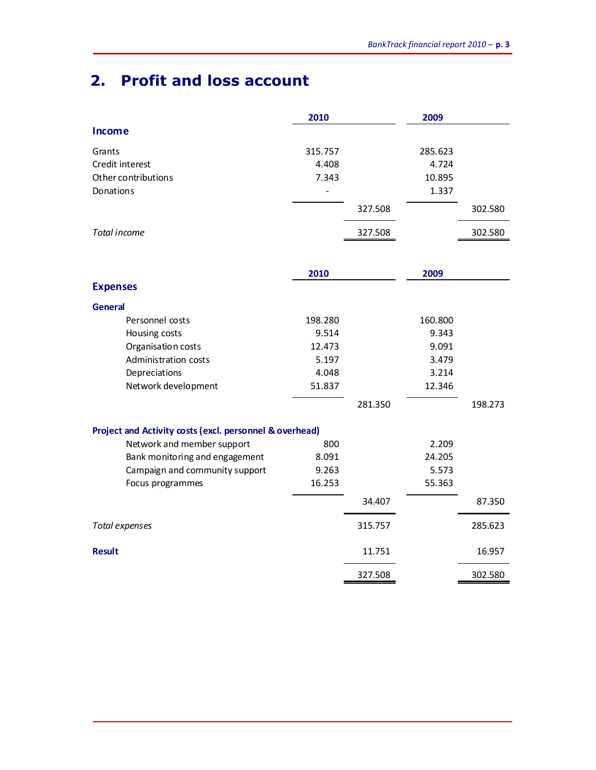## **2. Profit and loss account**

|                                                         | 2010    |         | 2009    |         |
|---------------------------------------------------------|---------|---------|---------|---------|
| <b>Income</b>                                           |         |         |         |         |
| Grants                                                  | 315.757 |         | 285.623 |         |
| Credit interest                                         | 4.408   |         | 4.724   |         |
| Other contributions                                     | 7.343   |         | 10.895  |         |
| Donations                                               |         |         | 1.337   |         |
|                                                         |         | 327.508 |         | 302.580 |
| Total income                                            |         | 327.508 |         | 302.580 |
|                                                         |         |         |         |         |
|                                                         | 2010    |         | 2009    |         |
| <b>Expenses</b>                                         |         |         |         |         |
| <b>General</b>                                          |         |         |         |         |
| Personnel costs                                         | 198.280 |         | 160.800 |         |
| Housing costs                                           | 9.514   |         | 9.343   |         |
| Organisation costs                                      | 12.473  |         | 9.091   |         |
| Administration costs                                    | 5.197   |         | 3.479   |         |
| Depreciations                                           | 4.048   |         | 3.214   |         |
| Network development                                     | 51.837  |         | 12.346  |         |
|                                                         |         | 281.350 |         | 198.273 |
| Project and Activity costs (excl. personnel & overhead) |         |         |         |         |
| Network and member support                              | 800     |         | 2.209   |         |
| Bank monitoring and engagement                          | 8.091   |         | 24.205  |         |
| Campaign and community support                          | 9.263   |         | 5.573   |         |
| Focus programmes                                        | 16.253  |         | 55.363  |         |
|                                                         |         | 34.407  |         | 87.350  |
| Total expenses                                          |         | 315.757 |         | 285.623 |
| <b>Result</b>                                           |         | 11.751  |         | 16.957  |
|                                                         |         | 327.508 |         | 302.580 |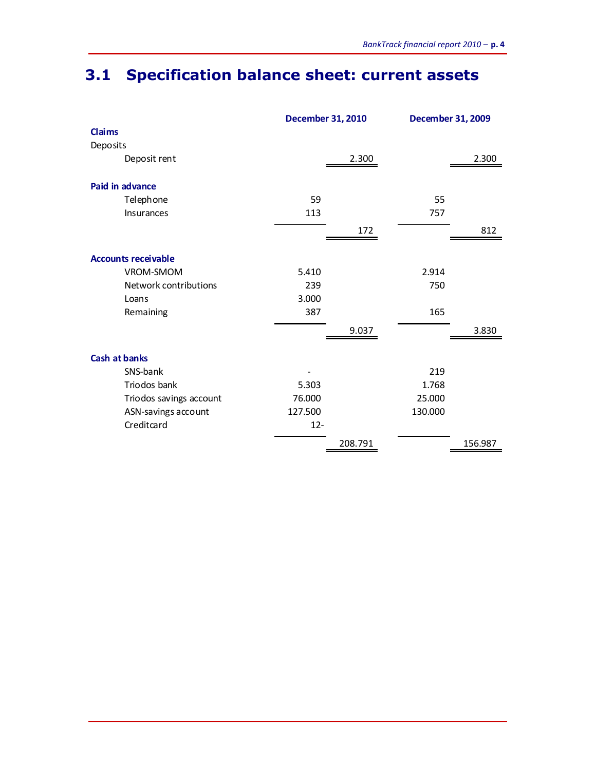## **3.1 Specification balance sheet: current assets**

|                            | <b>December 31, 2010</b> |         | December 31, 2009 |         |
|----------------------------|--------------------------|---------|-------------------|---------|
| Claims                     |                          |         |                   |         |
| Deposits                   |                          |         |                   |         |
| Deposit rent               |                          | 2.300   |                   | 2.300   |
| Paid in advance            |                          |         |                   |         |
| Telephone                  | 59                       |         | 55                |         |
| Insurances                 | 113                      |         | 757               |         |
|                            |                          | 172     |                   | 812     |
| <b>Accounts receivable</b> |                          |         |                   |         |
| VROM-SMOM                  | 5.410                    |         | 2.914             |         |
| Network contributions      | 239                      |         | 750               |         |
| Loans                      | 3.000                    |         |                   |         |
| Remaining                  | 387                      |         | 165               |         |
|                            |                          | 9.037   |                   | 3.830   |
| <b>Cash at banks</b>       |                          |         |                   |         |
| SNS-bank                   |                          |         | 219               |         |
| Triodos bank               | 5.303                    |         | 1.768             |         |
| Triodos savings account    | 76.000                   |         | 25.000            |         |
| ASN-savings account        | 127.500                  |         | 130.000           |         |
| Creditcard                 | $12 -$                   |         |                   |         |
|                            |                          | 208.791 |                   | 156.987 |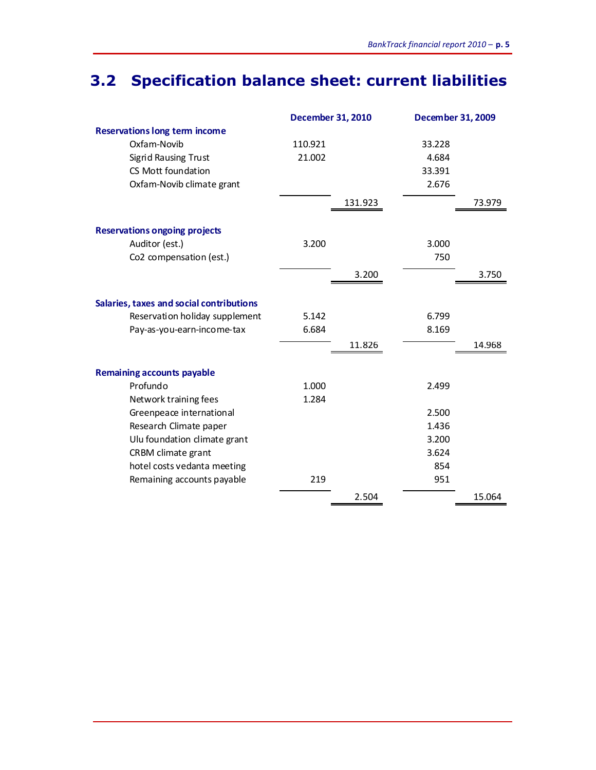## **3.2 Specification balance sheet: current liabilities**

|                                          | <b>December 31, 2010</b> |         |        | December 31, 2009 |  |
|------------------------------------------|--------------------------|---------|--------|-------------------|--|
| <b>Reservations long term income</b>     |                          |         |        |                   |  |
| Oxfam-Novib                              | 110.921                  |         | 33.228 |                   |  |
| <b>Sigrid Rausing Trust</b>              | 21.002                   |         | 4.684  |                   |  |
| CS Mott foundation                       |                          |         | 33.391 |                   |  |
| Oxfam-Novib climate grant                |                          |         | 2.676  |                   |  |
|                                          |                          | 131.923 |        | 73.979            |  |
| <b>Reservations ongoing projects</b>     |                          |         |        |                   |  |
| Auditor (est.)                           | 3.200                    |         | 3.000  |                   |  |
| Co2 compensation (est.)                  |                          |         | 750    |                   |  |
|                                          |                          | 3.200   |        | 3.750             |  |
| Salaries, taxes and social contributions |                          |         |        |                   |  |
| Reservation holiday supplement           | 5.142                    |         | 6.799  |                   |  |
| Pay-as-you-earn-income-tax               | 6.684                    |         | 8.169  |                   |  |
|                                          |                          | 11.826  |        | 14.968            |  |
|                                          |                          |         |        |                   |  |
| <b>Remaining accounts payable</b>        |                          |         |        |                   |  |
| Profundo                                 | 1.000                    |         | 2.499  |                   |  |
| Network training fees                    | 1.284                    |         |        |                   |  |
| Greenpeace international                 |                          |         | 2.500  |                   |  |
| Research Climate paper                   |                          |         | 1.436  |                   |  |
| Ulu foundation climate grant             |                          |         | 3.200  |                   |  |
| CRBM climate grant                       |                          |         | 3.624  |                   |  |
| hotel costs vedanta meeting              |                          |         | 854    |                   |  |
| Remaining accounts payable               | 219                      |         | 951    |                   |  |
|                                          |                          | 2.504   |        | 15.064            |  |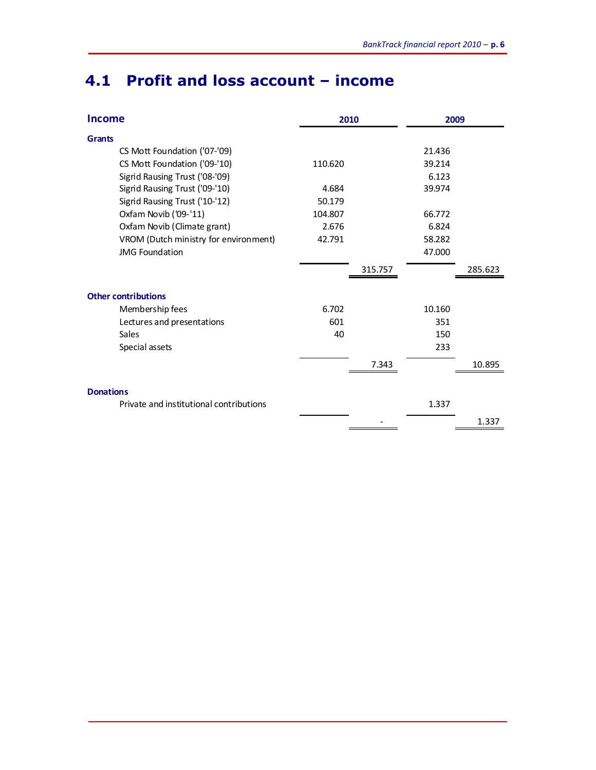## **4.1 Profit and loss account – income**

| <b>Income</b>                           | 2010    |         | 2009   |         |
|-----------------------------------------|---------|---------|--------|---------|
| <b>Grants</b>                           |         |         |        |         |
| CS Mott Foundation ('07-'09)            |         |         | 21.436 |         |
| CS Mott Foundation ('09-'10)            | 110.620 |         | 39.214 |         |
| Sigrid Rausing Trust ('08-'09)          |         |         | 6.123  |         |
| Sigrid Rausing Trust ('09-'10)          | 4.684   |         | 39.974 |         |
| Sigrid Rausing Trust ('10-'12)          | 50.179  |         |        |         |
| Oxfam Novib ('09-'11)                   | 104.807 |         | 66.772 |         |
| Oxfam Novib (Climate grant)             | 2.676   |         | 6.824  |         |
| VROM (Dutch ministry for environment)   | 42.791  |         | 58.282 |         |
| <b>JMG Foundation</b>                   |         |         | 47.000 |         |
|                                         |         | 315.757 |        | 285.623 |
| <b>Other contributions</b>              |         |         |        |         |
| Membership fees                         | 6.702   |         | 10.160 |         |
| Lectures and presentations              | 601     |         | 351    |         |
| Sales                                   | 40      |         | 150    |         |
| Special assets                          |         |         | 233    |         |
|                                         |         | 7.343   |        | 10.895  |
| <b>Donations</b>                        |         |         |        |         |
| Private and institutional contributions |         |         | 1.337  |         |
|                                         |         |         |        | 1.337   |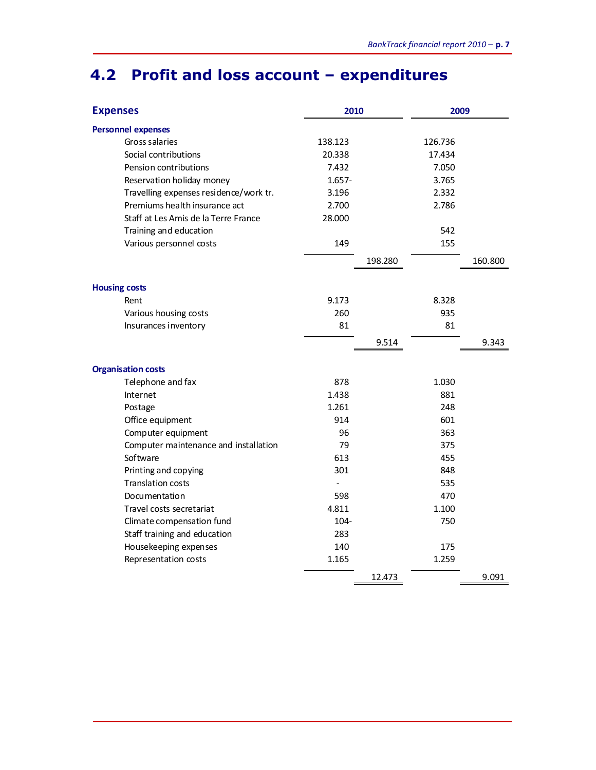## **4.2 Profit and loss account – expenditures**

| <b>Expenses</b>                        | 2010           |         | 2009    |         |
|----------------------------------------|----------------|---------|---------|---------|
| <b>Personnel expenses</b>              |                |         |         |         |
| Gross salaries                         | 138.123        |         | 126.736 |         |
| Social contributions                   | 20.338         |         | 17.434  |         |
| Pension contributions                  | 7.432          |         | 7.050   |         |
| Reservation holiday money              | $1.657 -$      |         | 3.765   |         |
| Travelling expenses residence/work tr. | 3.196          |         | 2.332   |         |
| Premiums health insurance act          | 2.700          |         | 2.786   |         |
| Staff at Les Amis de la Terre France   | 28.000         |         |         |         |
| Training and education                 |                |         | 542     |         |
| Various personnel costs                | 149            |         | 155     |         |
|                                        |                | 198.280 |         | 160.800 |
| <b>Housing costs</b>                   |                |         |         |         |
| Rent                                   | 9.173          |         | 8.328   |         |
| Various housing costs                  | 260            |         | 935     |         |
| Insurances inventory                   | 81             |         | 81      |         |
|                                        |                | 9.514   |         | 9.343   |
| <b>Organisation costs</b>              |                |         |         |         |
| Telephone and fax                      | 878            |         | 1.030   |         |
| Internet                               | 1.438          |         | 881     |         |
| Postage                                | 1.261          |         | 248     |         |
| Office equipment                       | 914            |         | 601     |         |
| Computer equipment                     | 96             |         | 363     |         |
| Computer maintenance and installation  | 79             |         | 375     |         |
| Software                               | 613            |         | 455     |         |
| Printing and copying                   | 301            |         | 848     |         |
| <b>Translation costs</b>               | $\overline{a}$ |         | 535     |         |
| Documentation                          | 598            |         | 470     |         |
| Travel costs secretariat               | 4.811          |         | 1.100   |         |
| Climate compensation fund              | 104-           |         | 750     |         |
| Staff training and education           | 283            |         |         |         |
| Housekeeping expenses                  | 140            |         | 175     |         |
| Representation costs                   | 1.165          |         | 1.259   |         |
|                                        |                | 12.473  |         | 9.091   |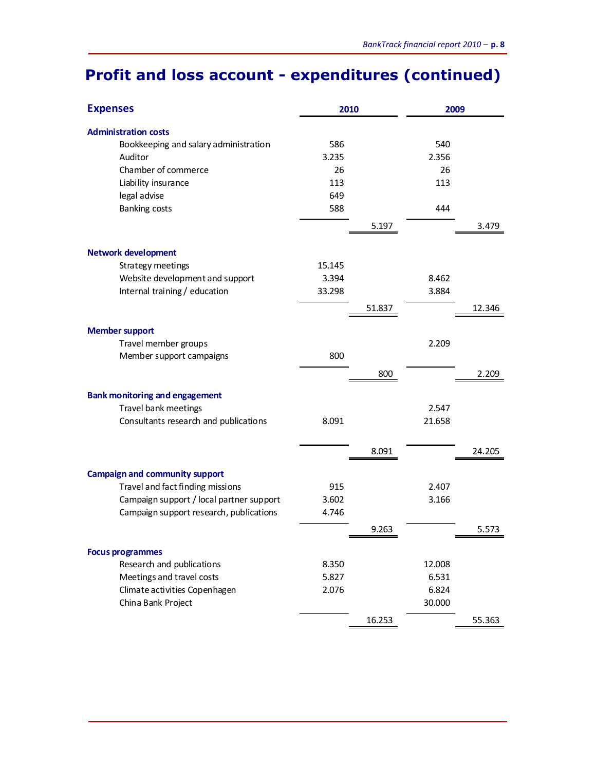## **Profit and loss account - expenditures (continued)**

| <b>Expenses</b>                          | 2010   |        | 2009   |        |
|------------------------------------------|--------|--------|--------|--------|
| <b>Administration costs</b>              |        |        |        |        |
| Bookkeeping and salary administration    | 586    |        | 540    |        |
| Auditor                                  | 3.235  |        | 2.356  |        |
| Chamber of commerce                      | 26     |        | 26     |        |
| Liability insurance                      | 113    |        | 113    |        |
| legal advise                             | 649    |        |        |        |
| <b>Banking costs</b>                     | 588    |        | 444    |        |
|                                          |        | 5.197  |        | 3.479  |
| <b>Network development</b>               |        |        |        |        |
| Strategy meetings                        | 15.145 |        |        |        |
| Website development and support          | 3.394  |        | 8.462  |        |
| Internal training / education            | 33.298 |        | 3.884  |        |
|                                          |        | 51.837 |        | 12.346 |
| <b>Member support</b>                    |        |        |        |        |
| Travel member groups                     |        |        | 2.209  |        |
| Member support campaigns                 | 800    |        |        |        |
|                                          |        | 800    |        | 2.209  |
| <b>Bank monitoring and engagement</b>    |        |        |        |        |
| Travel bank meetings                     |        |        | 2.547  |        |
| Consultants research and publications    | 8.091  |        | 21.658 |        |
|                                          |        |        |        |        |
|                                          |        | 8.091  |        | 24.205 |
| <b>Campaign and community support</b>    |        |        |        |        |
| Travel and fact finding missions         | 915    |        | 2.407  |        |
| Campaign support / local partner support | 3.602  |        | 3.166  |        |
| Campaign support research, publications  | 4.746  |        |        |        |
|                                          |        | 9.263  |        | 5.573  |
| <b>Focus programmes</b>                  |        |        |        |        |
| Research and publications                | 8.350  |        | 12.008 |        |
| Meetings and travel costs                | 5.827  |        | 6.531  |        |
| Climate activities Copenhagen            | 2.076  |        | 6.824  |        |
| China Bank Project                       |        |        | 30.000 |        |
|                                          |        | 16.253 |        | 55.363 |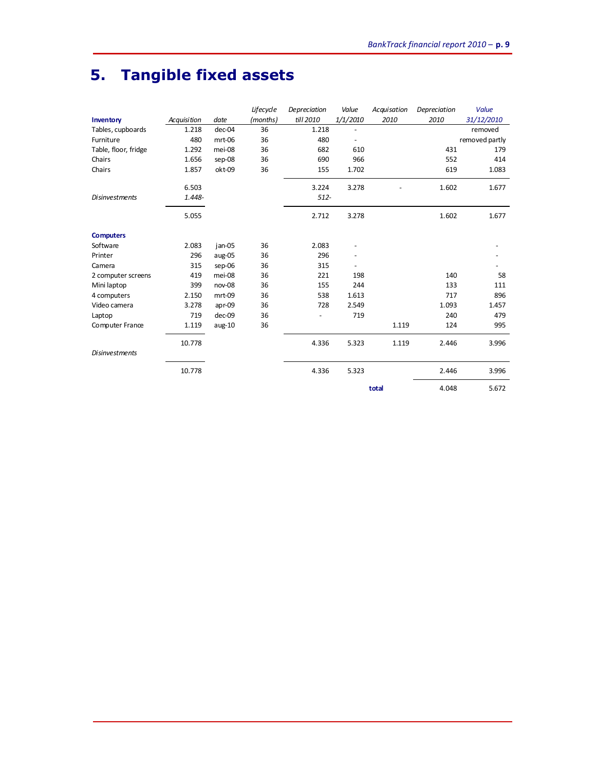## **5. Tangible fixed assets**

|                       |             |          | Lifecycle | Depreciation | Value    | Acquisation | Depreciation | <b>Value</b>   |
|-----------------------|-------------|----------|-----------|--------------|----------|-------------|--------------|----------------|
| Inventory             | Acquisition | date     | (months)  | till 2010    | 1/1/2010 | 2010        | 2010         | 31/12/2010     |
| Tables, cupboards     | 1.218       | dec-04   | 36        | 1.218        |          |             |              | removed        |
| Furniture             | 480         | mrt-06   | 36        | 480          |          |             |              | removed partly |
| Table, floor, fridge  | 1.292       | mei-08   | 36        | 682          | 610      |             | 431          | 179            |
| Chairs                | 1.656       | sep-08   | 36        | 690          | 966      |             | 552          | 414            |
| Chairs                | 1.857       | okt-09   | 36        | 155          | 1.702    |             | 619          | 1.083          |
|                       | 6.503       |          |           | 3.224        | 3.278    |             | 1.602        | 1.677          |
| <b>Disinvestments</b> | 1.448-      |          |           | $512 -$      |          |             |              |                |
|                       | 5.055       |          |           | 2.712        | 3.278    |             | 1.602        | 1.677          |
| <b>Computers</b>      |             |          |           |              |          |             |              |                |
| Software              | 2.083       | jan-05   | 36        | 2.083        |          |             |              |                |
| Printer               | 296         | aug-05   | 36        | 296          |          |             |              |                |
| Camera                | 315         | sep-06   | 36        | 315          |          |             |              |                |
| 2 computer screens    | 419         | mei-08   | 36        | 221          | 198      |             | 140          | 58             |
| Mini laptop           | 399         | nov-08   | 36        | 155          | 244      |             | 133          | 111            |
| 4 computers           | 2.150       | mrt-09   | 36        | 538          | 1.613    |             | 717          | 896            |
| Video camera          | 3.278       | apr-09   | 36        | 728          | 2.549    |             | 1.093        | 1.457          |
| Laptop                | 719         | dec-09   | 36        |              | 719      |             | 240          | 479            |
| Computer France       | 1.119       | $aug-10$ | 36        |              |          | 1.119       | 124          | 995            |
|                       | 10.778      |          |           | 4.336        | 5.323    | 1.119       | 2.446        | 3.996          |
| <b>Disinvestments</b> |             |          |           |              |          |             |              |                |
|                       | 10.778      |          |           | 4.336        | 5.323    |             | 2.446        | 3.996          |
|                       |             |          |           |              |          | total       | 4.048        | 5.672          |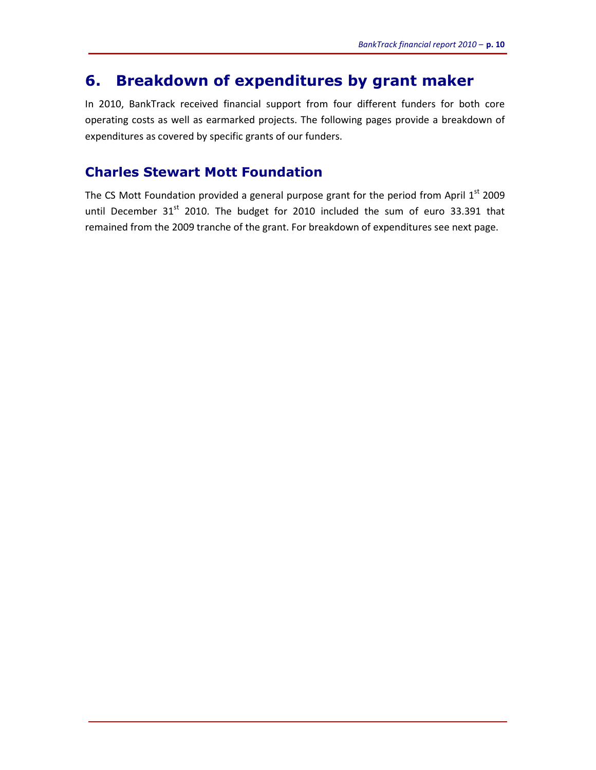### **6. Breakdown of expenditures by grant maker**

In 2010, BankTrack received financial support from four different funders for both core operating costs as well as earmarked projects. The following pages provide a breakdown of expenditures as covered by specific grants of our funders.

#### **Charles Stewart Mott Foundation**

The CS Mott Foundation provided a general purpose grant for the period from April  $1<sup>st</sup>$  2009 until December  $31<sup>st</sup>$  2010. The budget for 2010 included the sum of euro 33.391 that remained from the 2009 tranche of the grant. For breakdown of expenditures see next page.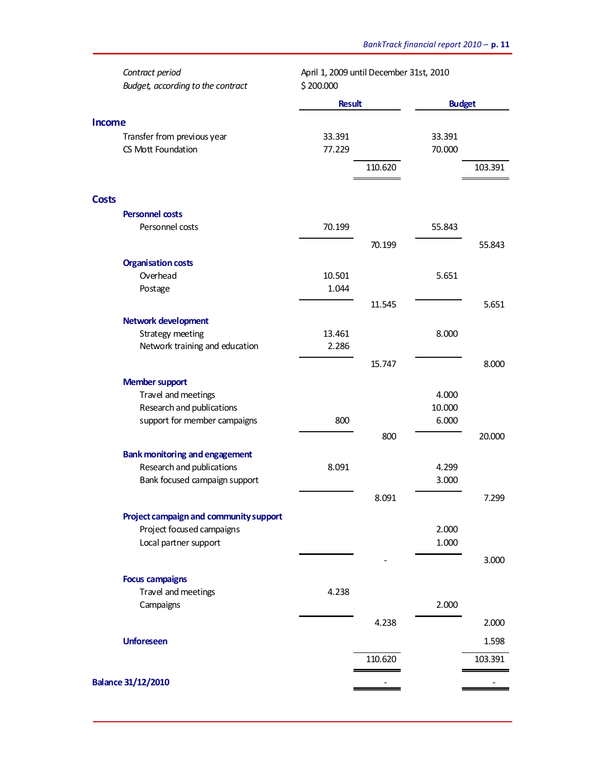|               | Contract period<br>Budget, according to the contract      | April 1, 2009 until December 31st, 2010<br>\$200.000 |         |                 |         |
|---------------|-----------------------------------------------------------|------------------------------------------------------|---------|-----------------|---------|
|               |                                                           | <b>Result</b>                                        |         | <b>Budget</b>   |         |
| <b>Income</b> |                                                           |                                                      |         |                 |         |
|               | Transfer from previous year                               | 33.391                                               |         | 33.391          |         |
|               | CS Mott Foundation                                        | 77.229                                               |         | 70.000          |         |
|               |                                                           |                                                      | 110.620 |                 | 103.391 |
| <b>Costs</b>  |                                                           |                                                      |         |                 |         |
|               | Personnel costs                                           |                                                      |         |                 |         |
|               | Personnel costs                                           | 70.199                                               |         | 55.843          |         |
|               |                                                           |                                                      | 70.199  |                 | 55.843  |
|               |                                                           |                                                      |         |                 |         |
|               | <b>Organisation costs</b><br>Overhead                     | 10.501                                               |         | 5.651           |         |
|               | Postage                                                   | 1.044                                                |         |                 |         |
|               |                                                           |                                                      | 11.545  |                 | 5.651   |
|               |                                                           |                                                      |         |                 |         |
|               | <b>Network development</b><br><b>Strategy meeting</b>     | 13.461                                               |         | 8.000           |         |
|               | Network training and education                            | 2.286                                                |         |                 |         |
|               |                                                           |                                                      |         |                 |         |
|               |                                                           |                                                      | 15.747  |                 | 8.000   |
|               | <b>Member support</b>                                     |                                                      |         |                 |         |
|               | Travel and meetings                                       |                                                      |         | 4.000<br>10.000 |         |
|               | Research and publications<br>support for member campaigns | 800                                                  |         | 6.000           |         |
|               |                                                           |                                                      | 800     |                 | 20.000  |
|               |                                                           |                                                      |         |                 |         |
|               | <b>Bank monitoring and engagement</b>                     |                                                      |         |                 |         |
|               | Research and publications                                 | 8.091                                                |         | 4.299           |         |
|               | Bank focused campaign support                             |                                                      |         | 3.000           |         |
|               |                                                           |                                                      | 8.091   |                 | 7.299   |
|               | Project campaign and community support                    |                                                      |         |                 |         |
|               | Project focused campaigns                                 |                                                      |         | 2.000           |         |
|               | Local partner support                                     |                                                      |         | 1.000           |         |
|               |                                                           |                                                      |         |                 | 3.000   |
|               | <b>Focus campaigns</b>                                    |                                                      |         |                 |         |
|               | Travel and meetings                                       | 4.238                                                |         |                 |         |
|               | Campaigns                                                 |                                                      |         | 2.000           |         |
|               |                                                           |                                                      | 4.238   |                 | 2.000   |
|               |                                                           |                                                      |         |                 |         |
|               | <b>Unforeseen</b>                                         |                                                      |         |                 | 1.598   |
|               |                                                           |                                                      | 110.620 |                 | 103.391 |
|               | <b>Balance 31/12/2010</b>                                 |                                                      |         |                 |         |
|               |                                                           |                                                      |         |                 |         |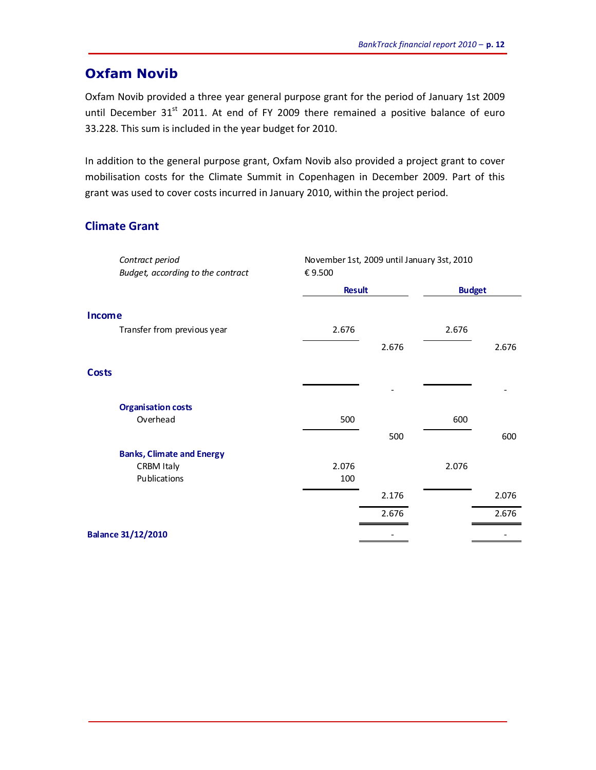#### **Oxfam Novib**

Oxfam Novib provided a three year general purpose grant for the period of January 1st 2009 until December  $31^{st}$  2011. At end of FY 2009 there remained a positive balance of euro 33.228. This sum is included in the year budget for 2010.

In addition to the general purpose grant, Oxfam Novib also provided a project grant to cover mobilisation costs for the Climate Summit in Copenhagen in December 2009. Part of this grant was used to cover costs incurred in January 2010, within the project period.

#### **Climate Grant**

| <b>Result</b><br><b>Budget</b><br>Transfer from previous year<br>2.676<br>2.676 |       |
|---------------------------------------------------------------------------------|-------|
| Income                                                                          |       |
|                                                                                 |       |
|                                                                                 |       |
| 2.676                                                                           | 2.676 |
| <b>Costs</b>                                                                    |       |
| <b>Organisation costs</b>                                                       |       |
| Overhead<br>500<br>600                                                          |       |
| 500                                                                             | 600   |
| <b>Banks, Climate and Energy</b>                                                |       |
| 2.076<br>2.076<br><b>CRBM Italy</b>                                             |       |
| Publications<br>100                                                             |       |
| 2.176                                                                           | 2.076 |
| 2.676                                                                           | 2.676 |
| <b>Balance 31/12/2010</b>                                                       |       |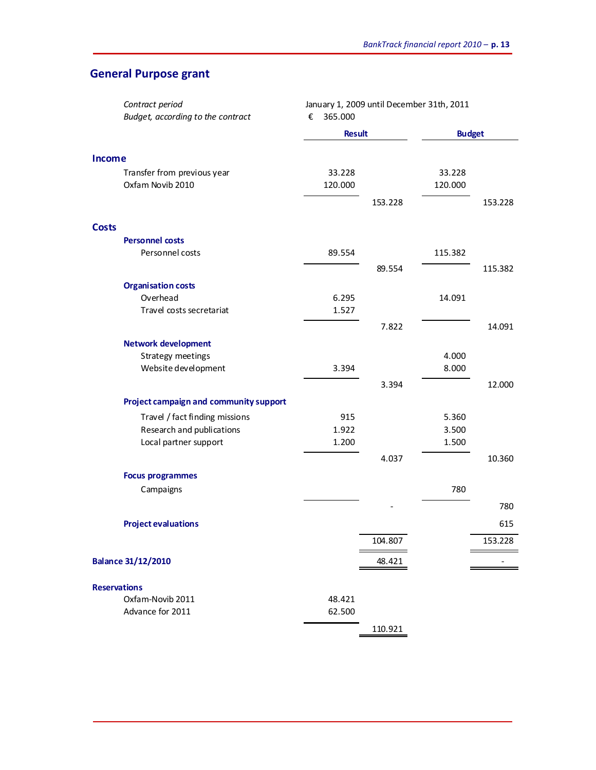### **General Purpose grant**

| Budget, according to the contract<br>€<br>365.000 |         |
|---------------------------------------------------|---------|
| <b>Budget</b><br><b>Result</b>                    |         |
|                                                   |         |
| <b>Income</b>                                     |         |
| Transfer from previous year<br>33.228<br>33.228   |         |
| Oxfam Novib 2010<br>120.000<br>120.000            |         |
| 153.228                                           | 153.228 |
| <b>Costs</b>                                      |         |
| <b>Personnel costs</b>                            |         |
| Personnel costs<br>89.554<br>115.382              |         |
| 89.554                                            | 115.382 |
| <b>Organisation costs</b>                         |         |
| Overhead<br>6.295<br>14.091                       |         |
| Travel costs secretariat<br>1.527                 |         |
| 7.822                                             | 14.091  |
| <b>Network development</b>                        |         |
| Strategy meetings<br>4.000                        |         |
| 3.394<br>Website development<br>8.000             |         |
| 3.394                                             | 12.000  |
| Project campaign and community support            |         |
| Travel / fact finding missions<br>915<br>5.360    |         |
| Research and publications<br>1.922<br>3.500       |         |
| Local partner support<br>1.200<br>1.500           |         |
| 4.037                                             | 10.360  |
| <b>Focus programmes</b>                           |         |
| 780<br>Campaigns                                  |         |
|                                                   | 780     |
| <b>Project evaluations</b>                        | 615     |
| 104.807                                           | 153.228 |
| <b>Balance 31/12/2010</b><br>48.421               |         |
| <b>Reservations</b>                               |         |
| Oxfam-Novib 2011<br>48.421                        |         |
| Advance for 2011<br>62.500                        |         |
| 110.921                                           |         |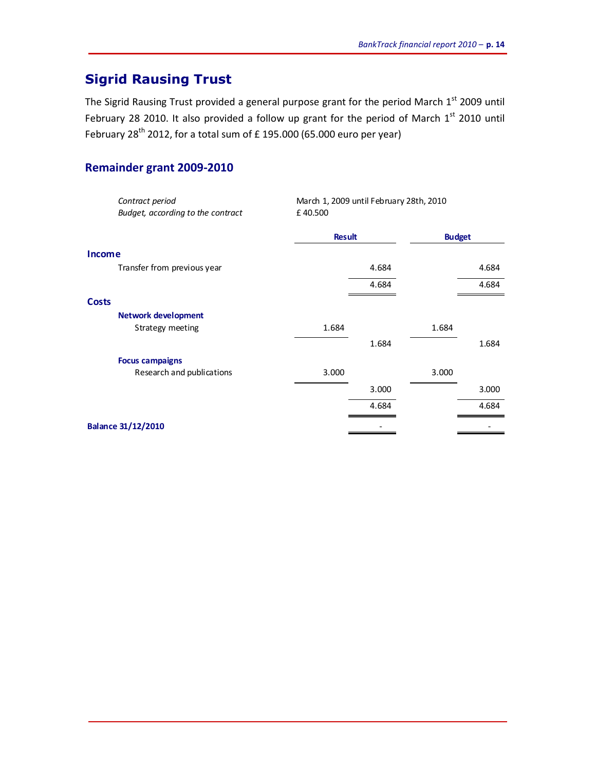## **Sigrid Rausing Trust**

The Sigrid Rausing Trust provided a general purpose grant for the period March  $1<sup>st</sup>$  2009 until February 28 2010. It also provided a follow up grant for the period of March  $1<sup>st</sup>$  2010 until February 28<sup>th</sup> 2012, for a total sum of £ 195.000 (65.000 euro per year)

#### **Remainder grant 2009-2010**

| Contract period                   | March 1, 2009 until February 28th, 2010 |       |               |       |
|-----------------------------------|-----------------------------------------|-------|---------------|-------|
| Budget, according to the contract | £40.500                                 |       |               |       |
|                                   | <b>Result</b>                           |       | <b>Budget</b> |       |
| <b>Income</b>                     |                                         |       |               |       |
| Transfer from previous year       |                                         | 4.684 |               | 4.684 |
|                                   |                                         | 4.684 |               | 4.684 |
| <b>Costs</b>                      |                                         |       |               |       |
| <b>Network development</b>        |                                         |       |               |       |
| Strategy meeting                  | 1.684                                   |       | 1.684         |       |
|                                   |                                         | 1.684 |               | 1.684 |
| <b>Focus campaigns</b>            |                                         |       |               |       |
| Research and publications         | 3.000                                   |       | 3.000         |       |
|                                   |                                         | 3.000 |               | 3.000 |
|                                   |                                         | 4.684 |               | 4.684 |
| <b>Balance 31/12/2010</b>         |                                         |       |               |       |
|                                   |                                         |       |               |       |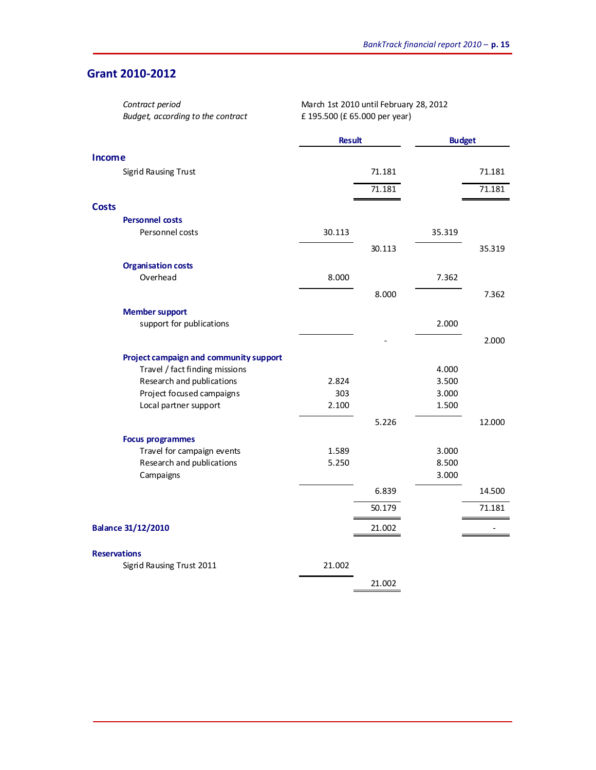#### **Grant 2010-2012**

| Contract period                        | March 1st 2010 until February 28, 2012 |               |        |               |  |
|----------------------------------------|----------------------------------------|---------------|--------|---------------|--|
| Budget, according to the contract      | £ 195.500 (£ 65.000 per year)          |               |        |               |  |
|                                        |                                        | <b>Result</b> |        | <b>Budget</b> |  |
| <b>Income</b>                          |                                        |               |        |               |  |
| Sigrid Rausing Trust                   |                                        | 71.181        |        | 71.181        |  |
|                                        |                                        | 71.181        |        | 71.181        |  |
| <b>Costs</b>                           |                                        |               |        |               |  |
| <b>Personnel costs</b>                 |                                        |               |        |               |  |
| Personnel costs                        | 30.113                                 |               | 35.319 |               |  |
|                                        |                                        | 30.113        |        | 35.319        |  |
| <b>Organisation costs</b>              |                                        |               |        |               |  |
| Overhead                               | 8.000                                  |               | 7.362  |               |  |
|                                        |                                        | 8.000         |        | 7.362         |  |
| <b>Member support</b>                  |                                        |               |        |               |  |
| support for publications               |                                        |               | 2.000  |               |  |
|                                        |                                        |               |        | 2.000         |  |
| Project campaign and community support |                                        |               |        |               |  |
| Travel / fact finding missions         |                                        |               | 4.000  |               |  |
| Research and publications              | 2.824                                  |               | 3.500  |               |  |
| Project focused campaigns              | 303                                    |               | 3.000  |               |  |
| Local partner support                  | 2.100                                  |               | 1.500  |               |  |
|                                        |                                        | 5.226         |        | 12.000        |  |
| <b>Focus programmes</b>                |                                        |               |        |               |  |
| Travel for campaign events             | 1.589                                  |               | 3.000  |               |  |
| Research and publications              | 5.250                                  |               | 8.500  |               |  |
| Campaigns                              |                                        |               | 3.000  |               |  |
|                                        |                                        | 6.839         |        | 14.500        |  |
|                                        |                                        | 50.179        |        | 71.181        |  |
| <b>Balance 31/12/2010</b>              |                                        | 21.002        |        |               |  |
| <b>Reservations</b>                    |                                        |               |        |               |  |
| Sigrid Rausing Trust 2011              | 21.002                                 |               |        |               |  |
|                                        |                                        | 21.002        |        |               |  |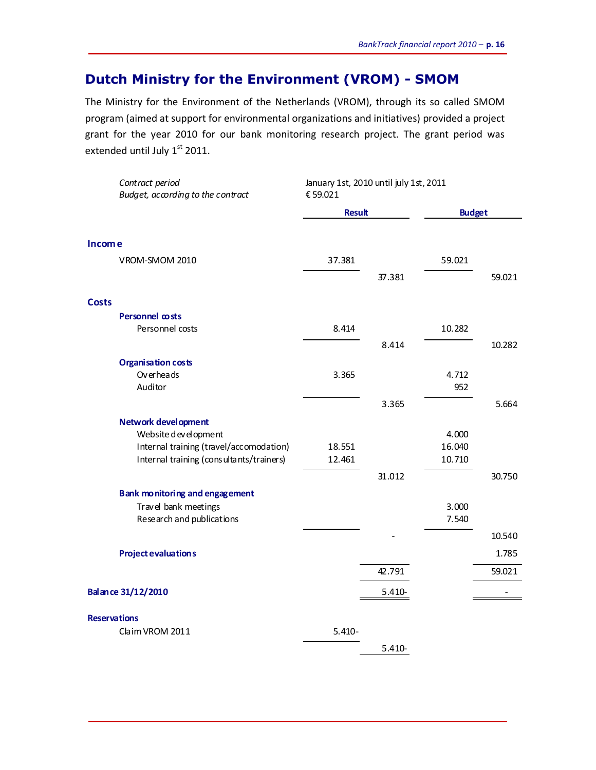## **Dutch Ministry for the Environment (VROM) - SMOM**

The Ministry for the Environment of the Netherlands (VROM), through its so called SMOM program (aimed at support for environmental organizations and initiatives) provided a project grant for the year 2010 for our bank monitoring research project. The grant period was extended until July 1st 2011.

| Contract period<br>Budget, according to the contract | January 1st, 2010 until july 1st, 2011<br>€59.021 |               |        |               |  |
|------------------------------------------------------|---------------------------------------------------|---------------|--------|---------------|--|
|                                                      |                                                   | <b>Result</b> |        | <b>Budget</b> |  |
| <b>Income</b>                                        |                                                   |               |        |               |  |
| VROM-SMOM 2010                                       | 37.381                                            |               | 59.021 |               |  |
|                                                      |                                                   | 37.381        |        | 59.021        |  |
| <b>Costs</b>                                         |                                                   |               |        |               |  |
| Personnel costs                                      |                                                   |               |        |               |  |
| Personnel costs                                      | 8.414                                             |               | 10.282 |               |  |
|                                                      |                                                   | 8.414         |        | 10.282        |  |
| <b>Organisation costs</b>                            |                                                   |               |        |               |  |
| Overheads                                            | 3.365                                             |               | 4.712  |               |  |
| Auditor                                              |                                                   |               | 952    |               |  |
|                                                      |                                                   | 3.365         |        | 5.664         |  |
| <b>Network development</b>                           |                                                   |               |        |               |  |
| Website development                                  |                                                   |               | 4.000  |               |  |
| Internal training (travel/accomodation)              | 18.551                                            |               | 16.040 |               |  |
| Internal training (consultants/trainers)             | 12.461                                            |               | 10.710 |               |  |
|                                                      |                                                   | 31.012        |        | 30.750        |  |
| Bank monitoring and engagement                       |                                                   |               |        |               |  |
| Travel bank meetings                                 |                                                   |               | 3.000  |               |  |
| Research and publications                            |                                                   |               | 7.540  |               |  |
|                                                      |                                                   |               |        | 10.540        |  |
| <b>Project evaluations</b>                           |                                                   |               |        | 1.785         |  |
|                                                      |                                                   | 42.791        |        | 59.021        |  |
| Balance 31/12/2010                                   |                                                   | 5.410-        |        |               |  |
| <b>Reservations</b>                                  |                                                   |               |        |               |  |
| Claim VROM 2011                                      | $5.410 -$                                         |               |        |               |  |
|                                                      |                                                   | $5.410 -$     |        |               |  |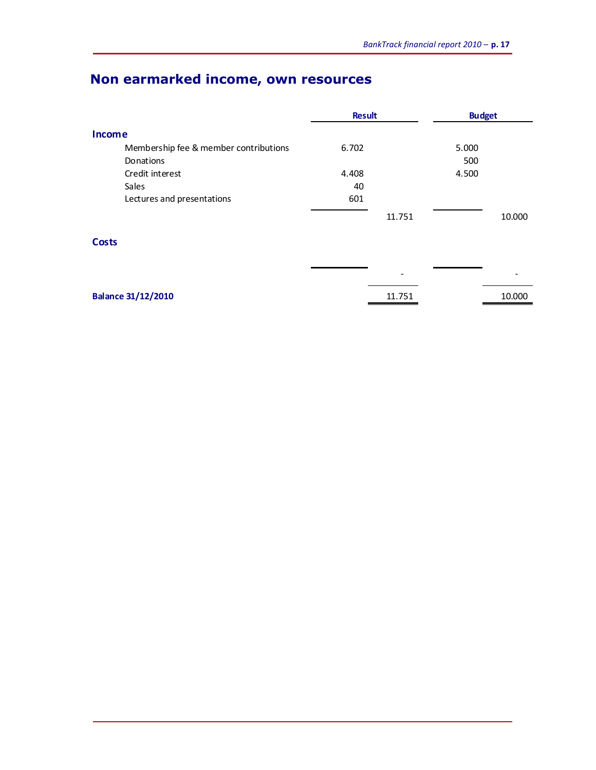## **Non earmarked income, own resources**

|                                       | <b>Result</b> | <b>Budget</b> |        |
|---------------------------------------|---------------|---------------|--------|
| <b>Income</b>                         |               |               |        |
| Membership fee & member contributions | 6.702         | 5.000         |        |
| Donations                             |               | 500           |        |
| Credit interest                       | 4.408         | 4.500         |        |
| Sales                                 | 40            |               |        |
| Lectures and presentations            | 601           |               |        |
|                                       |               | 11.751        | 10.000 |

#### **Costs**

|                           | $\overline{\phantom{0}}$ | $\overline{\phantom{0}}$ |
|---------------------------|--------------------------|--------------------------|
| <b>Balance 31/12/2010</b> | 11.751                   | 10.000                   |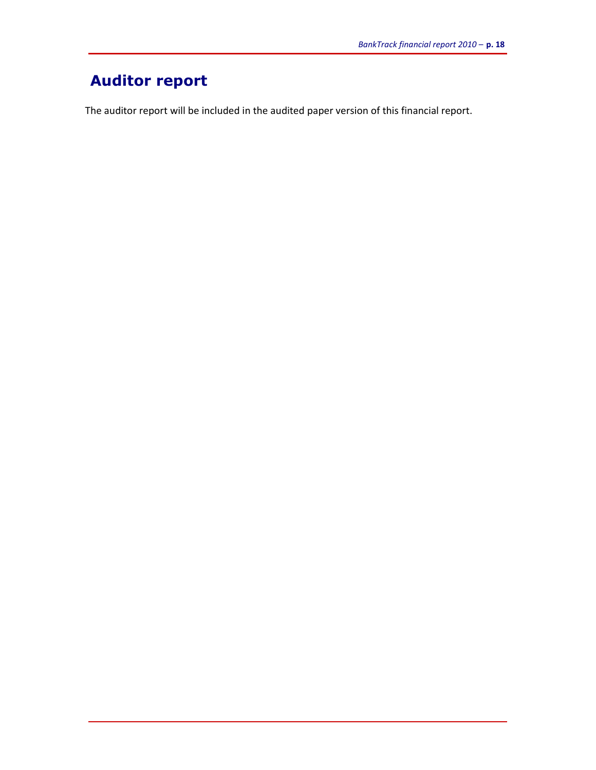## **Auditor report**

The auditor report will be included in the audited paper version of this financial report.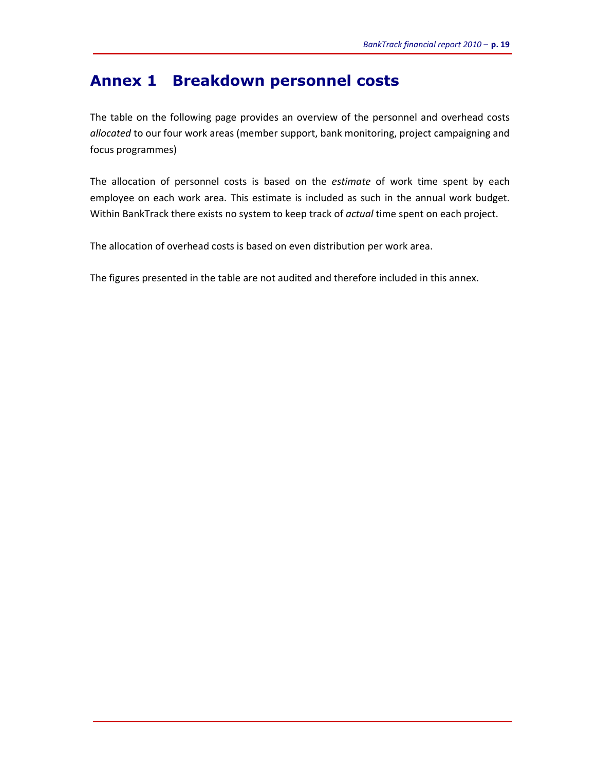### **Annex 1 Breakdown personnel costs**

The table on the following page provides an overview of the personnel and overhead costs *allocated* to our four work areas (member support, bank monitoring, project campaigning and focus programmes)

The allocation of personnel costs is based on the *estimate* of work time spent by each employee on each work area. This estimate is included as such in the annual work budget. Within BankTrack there exists no system to keep track of *actual* time spent on each project.

The allocation of overhead costs is based on even distribution per work area.

The figures presented in the table are not audited and therefore included in this annex.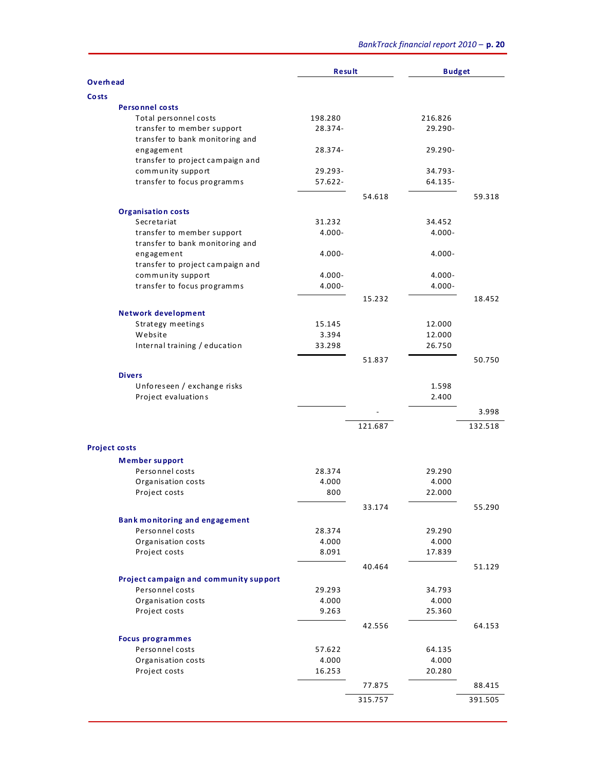|                      |                                                 | <b>Result</b>   |         | <b>Budget</b>   |         |
|----------------------|-------------------------------------------------|-----------------|---------|-----------------|---------|
| <b>Overhead</b>      |                                                 |                 |         |                 |         |
| <b>Costs</b>         |                                                 |                 |         |                 |         |
|                      | <b>Personnel costs</b><br>Total personnel costs | 198.280         |         | 216.826         |         |
|                      | transfer to member support                      | 28.374-         |         | 29.290-         |         |
|                      | transfer to bank monitoring and                 |                 |         |                 |         |
|                      | engagement                                      | 28.374-         |         | 29.290-         |         |
|                      | transfer to project campaign and                |                 |         |                 |         |
|                      | community support                               | 29.293-         |         | $34.793 -$      |         |
|                      | transfer to focus programms                     | $57.622 -$      |         | 64.135-         |         |
|                      |                                                 |                 | 54.618  |                 | 59.318  |
|                      |                                                 |                 |         |                 |         |
|                      | <b>Organisation costs</b><br>Secretariat        | 31.232          |         | 34.452          |         |
|                      | transfer to member support                      | $4.000 -$       |         | $4.000 -$       |         |
|                      | transfer to bank monitoring and                 |                 |         |                 |         |
|                      | engagement                                      | $4.000 -$       |         | $4.000 -$       |         |
|                      | transfer to project campaign and                |                 |         |                 |         |
|                      | community support                               | $4.000 -$       |         | $4.000 -$       |         |
|                      | transfer to focus programms                     | $4.000 -$       |         | $4.000 -$       |         |
|                      |                                                 |                 | 15.232  |                 | 18.452  |
|                      |                                                 |                 |         |                 |         |
|                      | <b>Network development</b><br>Strategy meetings | 15.145          |         | 12.000          |         |
|                      | Website                                         | 3.394           |         | 12.000          |         |
|                      | Internal training / education                   | 33.298          |         | 26.750          |         |
|                      |                                                 |                 |         |                 |         |
|                      |                                                 |                 | 51.837  |                 | 50.750  |
|                      | <b>Divers</b>                                   |                 |         |                 |         |
|                      | Unforeseen / exchange risks                     |                 |         | 1.598           |         |
|                      | Project evaluations                             |                 |         | 2.400           |         |
|                      |                                                 |                 |         |                 | 3.998   |
|                      |                                                 |                 | 121.687 |                 | 132.518 |
|                      |                                                 |                 |         |                 |         |
| <b>Project costs</b> |                                                 |                 |         |                 |         |
|                      | <b>Member support</b>                           |                 |         |                 |         |
|                      | Personnel costs                                 | 28.374          |         | 29.290          |         |
|                      | Organisation costs                              | 4.000           |         | 4.000           |         |
|                      | Project costs                                   | 800             |         | 22.000          |         |
|                      |                                                 |                 | 33.174  |                 | 55.290  |
|                      | <b>Bank monitoring and engagement</b>           |                 |         |                 |         |
|                      | Personnel costs                                 | 28.374          |         | 29.290          |         |
|                      | Organisation costs                              | 4.000           |         | 4.000           |         |
|                      | Project costs                                   | 8.091           |         | 17.839          |         |
|                      |                                                 |                 | 40.464  |                 | 51.129  |
|                      | Project campaign and community support          |                 |         |                 |         |
|                      | Personnel costs                                 | 29.293          |         | 34.793          |         |
|                      | Organisation costs                              | 4.000           |         | 4.000           |         |
|                      | Project costs                                   | 9.263           |         | 25.360          |         |
|                      |                                                 |                 | 42.556  |                 | 64.153  |
|                      |                                                 |                 |         |                 |         |
|                      | <b>Focus programmes</b>                         |                 |         |                 |         |
|                      | Personnel costs<br>Organisation costs           | 57.622<br>4.000 |         | 64.135<br>4.000 |         |
|                      | Project costs                                   | 16.253          |         | 20.280          |         |
|                      |                                                 |                 |         |                 |         |
|                      |                                                 |                 | 77.875  |                 | 88.415  |
|                      |                                                 |                 | 315.757 |                 | 391.505 |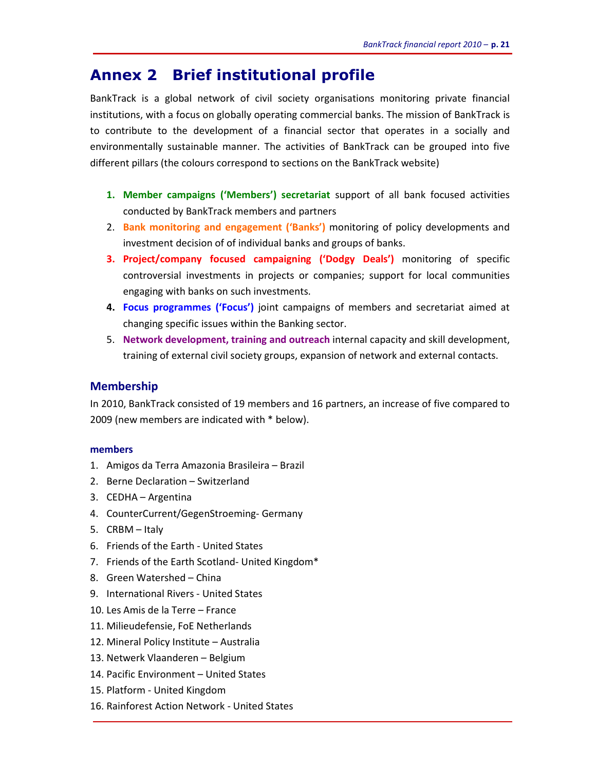### **Annex 2 Brief institutional profile**

BankTrack is a global network of civil society organisations monitoring private financial institutions, with a focus on globally operating commercial banks. The mission of BankTrack is to contribute to the development of a financial sector that operates in a socially and environmentally sustainable manner. The activities of BankTrack can be grouped into five different pillars (the colours correspond to sections on the BankTrack website)

- **1. Member campaigns ('Members') secretariat** support of all bank focused activities conducted by BankTrack members and partners
- 2. **Bank monitoring and engagement ('Banks')** monitoring of policy developments and investment decision of of individual banks and groups of banks.
- **3. Project/company focused campaigning ('Dodgy Deals')** monitoring of specific controversial investments in projects or companies; support for local communities engaging with banks on such investments.
- **4. Focus programmes ('Focus')** joint campaigns of members and secretariat aimed at changing specific issues within the Banking sector.
- 5. **Network development, training and outreach** internal capacity and skill development, training of external civil society groups, expansion of network and external contacts.

#### **Membership**

In 2010, BankTrack consisted of 19 members and 16 partners, an increase of five compared to 2009 (new members are indicated with \* below).

#### **members**

- 1. Amigos da Terra Amazonia Brasileira Brazil
- 2. Berne Declaration Switzerland
- 3. CEDHA Argentina
- 4. CounterCurrent/GegenStroeming- Germany
- 5. CRBM Italy
- 6. Friends of the Earth United States
- 7. Friends of the Earth Scotland- United Kingdom\*
- 8. Green Watershed China
- 9. International Rivers United States
- 10. Les Amis de la Terre France
- 11. Milieudefensie, FoE Netherlands
- 12. Mineral Policy Institute Australia
- 13. Netwerk Vlaanderen Belgium
- 14. Pacific Environment United States
- 15. Platform United Kingdom
- 16. Rainforest Action Network United States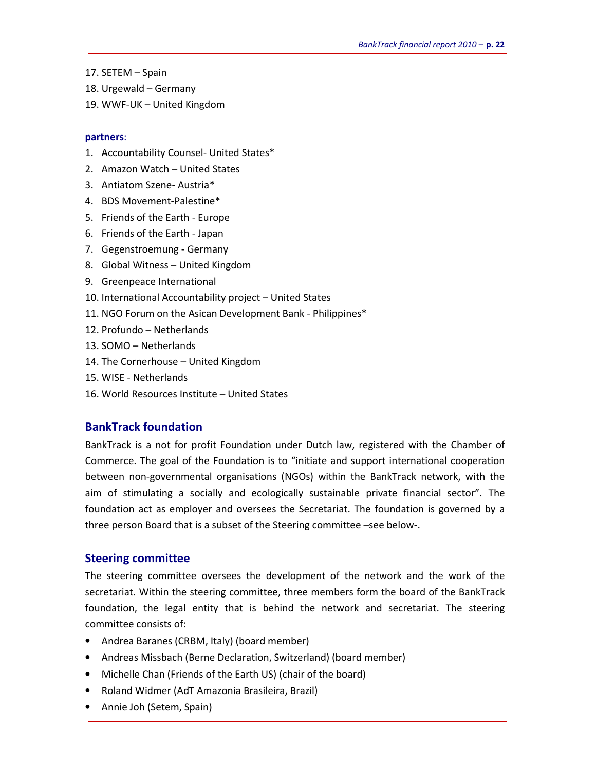- 17. SETEM Spain
- 18. Urgewald Germany
- 19. WWF-UK United Kingdom

#### **partners**:

- 1. Accountability Counsel- United States\*
- 2. Amazon Watch United States
- 3. Antiatom Szene- Austria\*
- 4. BDS Movement-Palestine\*
- 5. Friends of the Earth Europe
- 6. Friends of the Earth Japan
- 7. Gegenstroemung Germany
- 8. Global Witness United Kingdom
- 9. Greenpeace International
- 10. International Accountability project United States
- 11. NGO Forum on the Asican Development Bank Philippines\*
- 12. Profundo Netherlands
- 13. SOMO Netherlands
- 14. The Cornerhouse United Kingdom
- 15. WISE Netherlands
- 16. World Resources Institute United States

#### **BankTrack foundation**

BankTrack is a not for profit Foundation under Dutch law, registered with the Chamber of Commerce. The goal of the Foundation is to "initiate and support international cooperation between non-governmental organisations (NGOs) within the BankTrack network, with the aim of stimulating a socially and ecologically sustainable private financial sector". The foundation act as employer and oversees the Secretariat. The foundation is governed by a three person Board that is a subset of the Steering committee –see below-.

#### **Steering committee**

The steering committee oversees the development of the network and the work of the secretariat. Within the steering committee, three members form the board of the BankTrack foundation, the legal entity that is behind the network and secretariat. The steering committee consists of:

- Andrea Baranes (CRBM, Italy) (board member)
- Andreas Missbach (Berne Declaration, Switzerland) (board member)
- Michelle Chan (Friends of the Earth US) (chair of the board)
- Roland Widmer (AdT Amazonia Brasileira, Brazil)
- Annie Joh (Setem, Spain)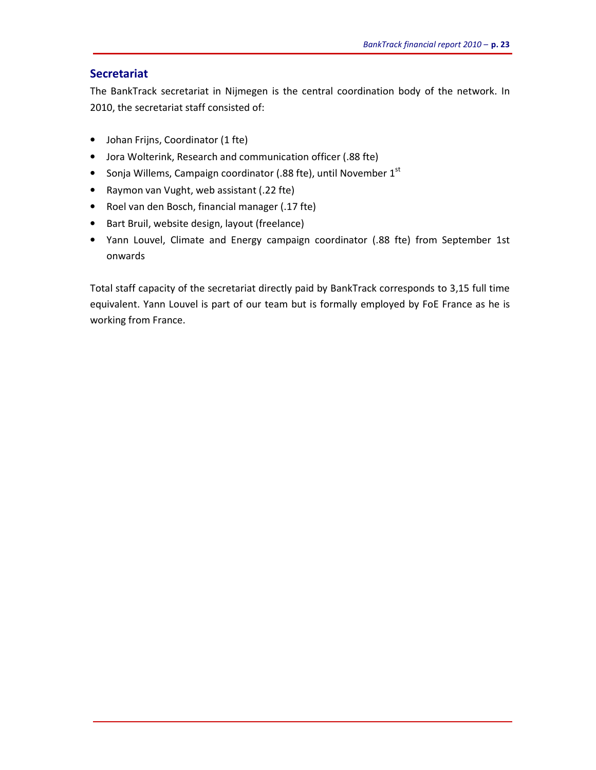#### **Secretariat**

The BankTrack secretariat in Nijmegen is the central coordination body of the network. In 2010, the secretariat staff consisted of:

- Johan Frijns, Coordinator (1 fte)
- Jora Wolterink, Research and communication officer (.88 fte)
- Sonja Willems, Campaign coordinator (.88 fte), until November 1<sup>st</sup>
- Raymon van Vught, web assistant (.22 fte)
- Roel van den Bosch, financial manager (.17 fte)
- Bart Bruil, website design, layout (freelance)
- Yann Louvel, Climate and Energy campaign coordinator (.88 fte) from September 1st onwards

Total staff capacity of the secretariat directly paid by BankTrack corresponds to 3,15 full time equivalent. Yann Louvel is part of our team but is formally employed by FoE France as he is working from France.